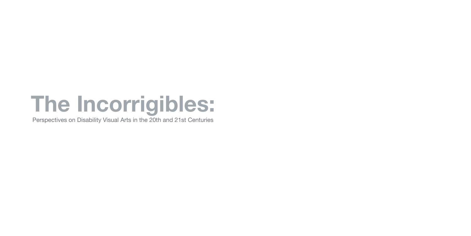## **The Incorrigibles:**

Perspectives on Disability Visual Arts in the 20th and 21st Centuries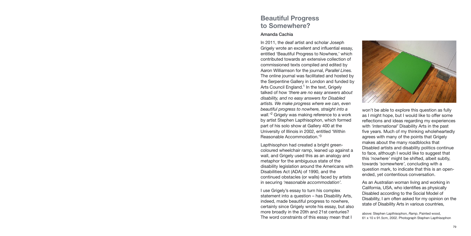won't be able to explore this question as fully as I might hope, but I would like to offer some reflections and ideas regarding my experiences with *'international'* Disability Arts in the past five years. Much of my thinking wholeheartedly agrees with many of the points that Grigely makes about the many roadblocks that Disabled artists and disability politics continue to face, although I would like to suggest that this *'nowhere'* might be shifted, albeit subtly, towards *'somewhere'*, concluding with a question mark, to indicate that this is an openended, yet contentious conversation.

As an Australian woman living and working in California, USA, who identifies as physically Disabled according to the Social Model of Disability, I am often asked for my opinion on the state of Disability Arts in various countries,

## **Beautiful Progress to Somewhere?**

## **Amanda Cachia**

In 2011, the deaf artist and scholar Joseph Grigely wrote an excellent and influential essay, entitled 'Beautiful Progress to Nowhere,' which contributed towards an extensive collection of commissioned texts compiled and edited by Aaron Williamson for the journal, *Parallel Lines.* The online journal was facilitated and hosted by the Serpentine Gallery in London and funded by Arts Council England.<sup>1</sup> In the text, Grigely talked of how *'there are no easy answers about disability, and no easy answers for Disabled artists. We make progress where we can, even beautiful progress to nowhere, straight into a wall.'*<sup>2</sup> Grigely was making reference to a work by artist Stephen Lapthisophon, which formed part of his solo show at Gallery 400 at the University of Illinois in 2002, entitled 'Within Reasonable Accommodation.'3

Lapthisophon had created a bright greencoloured wheelchair ramp, leaned up against a wall, and Grigely used this as an analogy and metaphor for the ambiguous state of the disability legislation around the Americans with Disabilities Act (ADA) of 1990, and the continued obstacles (or walls) faced by artists in securing *'reasonable accommodation'.*

I use Grigely's essay to turn his complex statement into a question – has Disability Arts, indeed, made beautiful progress to nowhere, certainly since Grigely wrote his essay, but also more broadly in the 20th and 21st centuries? The word constraints of this essay mean that I



above: Stephen Lapthisophon, *Ramp*, Painted wood, 61 x 10 x 91.5cm, 2002. Photograph Stephen Lapthisophon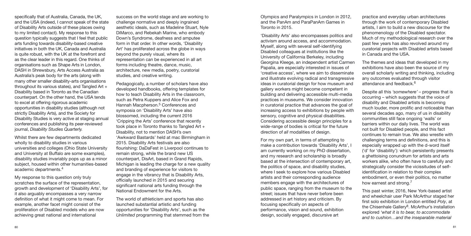specifically that of Australia, Canada, the UK, and the USA (indeed, I cannot speak of the state of Disability Arts outside of these places owing to my limited contact). My response to this question typically suggests that I feel that public arts funding towards disability-based creative initiatives in both the UK, Canada and Australia is quite robust, with the UK at the forefront and as the clear leader in this regard. One thinks of organisations such as Shape Arts in London, DASH in Shrewsbury, Arts Access Australia as Australia's peak body for the arts (along with many other smaller disability-arts organisations throughout its various states), and Tangled Art + Disability based in Toronto as the Canadian counterpart. On the other hand, the USA tends to excel at offering rigorous academic opportunities in disability studies (although not strictly Disability Arts), and the Society for Disability Studies is very active at staging annual conferences and publishing its peer-reviewed journal, *Disability Studies Quarterly.*

Whilst there are few departments dedicated wholly to disability studies in various universities and colleges (Ohio State University and University at Buffalo are some examples), disability studies invariably pops up as a minor subject, housed within other humanities-based academic departments.4

My response to this question only truly scratches the surface of the representation, growth and development of 'Disability Arts', for it also arguably encompasses a very narrow definition of what it might come to mean. For example, another facet might consist of the proliferation of Disabled models who are now achieving great national and international

success on the world stage and are working to challenge normative and deeply ingrained aesthetic ideals, such as Madeline Stuart, Nyle DiMarco, and Rebekah Marine, who embody Down's Syndrome, deafness and amputee form in that order. In other words, 'Disability Art' has proliferated across the globe in ways beyond the purely visual, where its representation can be experienced in all art forms including theatre, dance, music, architecture, new media, poetry, curatorial studies, and creative writing.

The themes and ideas that developed in my exhibitions have also been the source of my overall scholarly writing and thinking, including any outcomes evaluated through visitor attendance and feedback.<sup>6</sup>

Pedagogically, a number of scholars have also developed handbooks, offering templates for how to teach Disability Arts in the classroom, such as Petra Kuppers and Alice Fox and Hannah Macpherson.<sup>5</sup> Conferences and symposia on 'Disability Arts' have also blossomed, including the current 2016 'Cripping the Arts' conference that recently took place in Toronto thanks to Tangled Art + Disability, not to mention DASH's own 'Awkward Bastards' held at mac Birmingham in 2015. Disability Arts festivals are also flourishing: DaDaFest in Liverpool continues to remain strong, while the brand new US counterpart, DisArt, based in Grand Rapids, Michigan is leading the charge for a new quality and branding of experience for visitors to engage in the vibrancy that is Disability Arts, officially launched in 2015 and securing significant national arts funding through the National Endowment for the Arts.

Despite all this *'somewhere'* – progress that is occurring – which suggests that the voice of disability and Disabled artists is becoming much louder, more prolific and noticeable than several decades ago, many of us in disability communities still face ongoing 'walls' or barriers within our daily lives. The world was not built for Disabled people, and this fact continues to remain true. We also wrestle with challenging terms and definitions, and this is especially wrapped up with the d-word itself ('d' for 'disability'): which persistently presents a ghettoising conundrum for artists and arts workers alike, who often have to carefully and strategically consider the vicissitudes of selfidentification in relation to their complex embodiment, or even their politics, no matter how earnest and strong.<sup>7</sup>

The world of athleticism and sports has also launched substantial artistic and funding opportunities for 'Disability Arts', such as the *Unlimited* programming that stemmed from the

Olympics and Paralympics in London in 2012, and the PanAm and ParaPanAm Games in Toronto in 2015.

'Disability Arts' also encompasses politics and activism around access, and accommodation. Myself, along with several self-identifying Disabled colleagues at institutions like the University of California Berkeley, including Georgina Kleege, an independent artist Carmen Papalia, are especially interested in issues of 'creative access', where we aim to disseminate and illustrate evolving radical and transgressive ideas in curatorial design for how museum and gallery workers might become competent in building and delivering accessible multi-media practices in museums. We consider innovation in curatorial practice that advances the goal of increasing access to exhibitions by people with sensory, cognitive and physical disabilities. Considering accessible design principles for a wide-range of bodies is critical for the future direction of *all* modalities of design.

For my own part, in terms of attempting to make a contribution towards 'Disability Arts', I am currently working on my PhD dissertation, and my research and scholarship is broadly based at the intersection of contemporary art, the politics of space, and disability studies, where I seek to explore how various Disabled artists and their corresponding audience members engage with the architectures of public space, ranging from the museum to the street; issues that have never before been addressed in art history and criticism. By focusing specifically on aspects of performance, vision and sound, exhibition design, socially engaged, discursive art

practice and everyday urban architectures through the work of contemporary Disabled artists, I aim to build a new discourse for the phenomenology of the Disabled spectator. Much of my methodological research over the past few years has also revolved around my curatorial projects with Disabled artists based in Canada and the USA.

This past winter, 2016, New York-based artist and wheelchair user Park McArthur staged her first solo exhibition in London entitled *Poly*, at the Chisenhale Gallery<sup>8</sup>. McArthur's installation explored *'what it is to bear, to accommodate and to cushion…and the inseparable material*